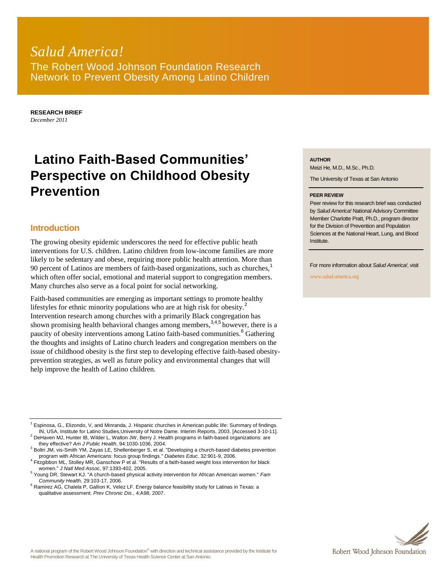# *Salud America!* The Robert Wood Johnson Foundation Research Network to Prevent Obesity Among Latino Children

**RESEARCH BRIEF** *December 2011*

# **Latino Faith-Based Communities' Perspective on Childhood Obesity Prevention**

## **Introduction**

The growing obesity epidemic underscores the need for effective public heath interventions for U.S. children. Latino children from low-income families are more likely to be sedentary and obese, requiring more public health attention. More than 90 percent of Latinos are members of faith-based organizations, such as churches,<sup>1</sup> which often offer social, emotional and material support to congregation members. Many churches also serve as a focal point for social networking.

Faith-based communities are emerging as important settings to promote healthy lifestyles for ethnic minority populations who are at high risk for obesity.<sup>2</sup> Intervention research among churches with a primarily Black congregation has shown promising health behavioral changes among members,  $34.5$  however, there is a paucity of obesity interventions among Latino faith-based communities.<sup>6</sup> Gathering the thoughts and insights of Latino church leaders and congregation members on the issue of childhood obesity is the first step to developing effective faith-based obesityprevention strategies, as well as future policy and environmental changes that will help improve the health of Latino children.

 $1$  Espinosa, G., Elizondo, V, and Minranda, J. Hispanic churches in American public life: Summary of findings. IN, USA, Institute for Latino Studies,University of Notre Dame. Interim Reports, 2003. [Accessed 3-10-11].

 $2$  DeHaven MJ, Hunter IB, Wilder L, Walton JW, Berry J. Health programs in faith-based organizations: are they effective? *Am J Public Health*, 94:1030-1036, 2004.

<sup>3</sup> Boltri JM, vis-Smith YM, Zayas LE, Shellenberger S, et al. "Developing a church-based diabetes prevention program with African Americans: focus group findings." *Diabetes Educ*, 32:901-9, 2006.

4 Fitzgibbon ML, Stolley MR, Ganschow P et al. "Results of a faith-based weight loss intervention for black women." *J Natl Med Assoc*, 97:1393-402, 2005.

<sup>5</sup> Young DR, Stewart KJ. "A church-based physical activity intervention for African American women." *Fam Community Health*, 29:103-17, 2006.

#### **AUTHOR**

Meizi He, M.D., M.Sc., Ph.D.

The University of Texas at San Antonio

#### **PEER REVIEW**

Peer review for this research brief was conducted by *Salud America!* National Advisory Committee Member Charlotte Pratt, Ph.D., program director for the Division of Prevention and Population Sciences at the National Heart, Lung, and Blood Institute.

For more information about *Salud America!*, visit

www.salud-america.org



 $6$  Ramirez AG, Chalela P, Gallion K, Velez LF. Energy balance feasibility study for Latinas in Texas: a qualitative assessment. *Prev Chronic Dis.*, 4:A98, 2007.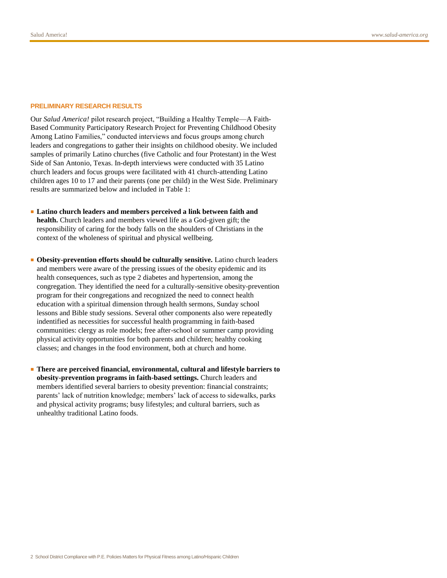#### **PRELIMINARY RESEARCH RESULTS**

Our *Salud America!* pilot research project, "Building a Healthy Temple—A Faith-Based Community Participatory Research Project for Preventing Childhood Obesity Among Latino Families," conducted interviews and focus groups among church leaders and congregations to gather their insights on childhood obesity. We included samples of primarily Latino churches (five Catholic and four Protestant) in the West Side of San Antonio, Texas. In-depth interviews were conducted with 35 Latino church leaders and focus groups were facilitated with 41 church-attending Latino children ages 10 to 17 and their parents (one per child) in the West Side. Preliminary results are summarized below and included in Table 1:

- **Latino church leaders and members perceived a link between faith and health.** Church leaders and members viewed life as a God-given gift; the responsibility of caring for the body falls on the shoulders of Christians in the context of the wholeness of spiritual and physical wellbeing.
- **Obesity-prevention efforts should be culturally sensitive.** Latino church leaders and members were aware of the pressing issues of the obesity epidemic and its health consequences, such as type 2 diabetes and hypertension, among the congregation. They identified the need for a culturally-sensitive obesity-prevention program for their congregations and recognized the need to connect health education with a spiritual dimension through health sermons, Sunday school lessons and Bible study sessions. Several other components also were repeatedly indentified as necessities for successful health programming in faith-based communities: clergy as role models; free after-school or summer camp providing physical activity opportunities for both parents and children; healthy cooking classes; and changes in the food environment, both at church and home.
- **There are perceived financial, environmental, cultural and lifestyle barriers to obesity-prevention programs in faith-based settings.** Church leaders and members identified several barriers to obesity prevention: financial constraints; parents' lack of nutrition knowledge; members' lack of access to sidewalks, parks and physical activity programs; busy lifestyles; and cultural barriers, such as unhealthy traditional Latino foods.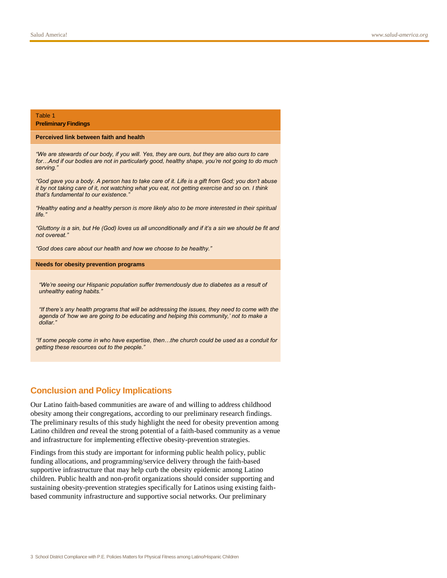#### Table 1 **Preliminary Findings**

#### **Perceived link between faith and health**

*"We are stewards of our body, if you will. Yes, they are ours, but they are also ours to care for…And if our bodies are not in particularly good, healthy shape, you"re not going to do much serving."*

*"God gave you a body. A person has to take care of it. Life is a gift from God; you don"t abuse it by not taking care of it, not watching what you eat, not getting exercise and so on. I think that"s fundamental to our existence."*

*"Healthy eating and a healthy person is more likely also to be more interested in their spiritual life."*

*"Gluttony is a sin, but He (God) loves us all unconditionally and if it"s a sin we should be fit and not overeat."*

*"God does care about our health and how we choose to be healthy."*

#### **Needs for obesity prevention programs**

*"We"re seeing our Hispanic population suffer tremendously due to diabetes as a result of unhealthy eating habits."*

*"If there"s any health programs that will be addressing the issues, they need to come with the agenda of "how we are going to be educating and helping this community," not to make a dollar."*

*"If some people come in who have expertise, then…the church could be used as a conduit for getting these resources out to the people."*

### **Conclusion and Policy Implications**

Our Latino faith-based communities are aware of and willing to address childhood obesity among their congregations, according to our preliminary research findings. The preliminary results of this study highlight the need for obesity prevention among Latino children *and* reveal the strong potential of a faith-based community as a venue and infrastructure for implementing effective obesity-prevention strategies.

Findings from this study are important for informing public health policy, public funding allocations, and programming/service delivery through the faith-based supportive infrastructure that may help curb the obesity epidemic among Latino children. Public health and non-profit organizations should consider supporting and sustaining obesity-prevention strategies specifically for Latinos using existing faithbased community infrastructure and supportive social networks. Our preliminary